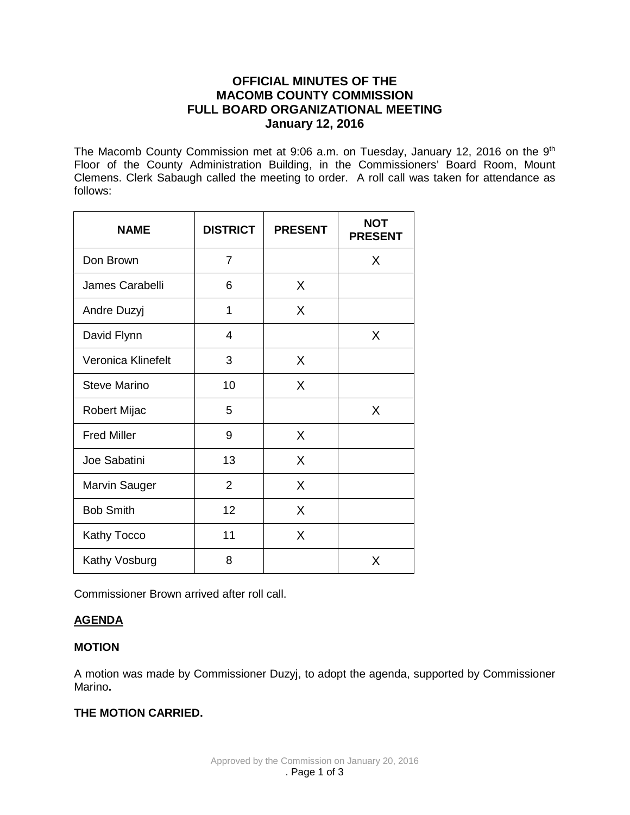# **OFFICIAL MINUTES OF THE MACOMB COUNTY COMMISSION FULL BOARD ORGANIZATIONAL MEETING January 12, 2016**

The Macomb County Commission met at 9:06 a.m. on Tuesday, January 12, 2016 on the 9<sup>th</sup> Floor of the County Administration Building, in the Commissioners' Board Room, Mount Clemens. Clerk Sabaugh called the meeting to order. A roll call was taken for attendance as follows:

| <b>NAME</b>         | <b>DISTRICT</b> | <b>PRESENT</b> | <b>NOT</b><br><b>PRESENT</b> |
|---------------------|-----------------|----------------|------------------------------|
| Don Brown           | 7               |                | X                            |
| James Carabelli     | 6               | X              |                              |
| Andre Duzyj         | 1               | X              |                              |
| David Flynn         | 4               |                | X                            |
| Veronica Klinefelt  | 3               | X              |                              |
| <b>Steve Marino</b> | 10              | X              |                              |
| Robert Mijac        | 5               |                | X                            |
| <b>Fred Miller</b>  | 9               | X              |                              |
| Joe Sabatini        | 13              | X              |                              |
| Marvin Sauger       | $\overline{2}$  | X              |                              |
| <b>Bob Smith</b>    | 12              | X              |                              |
| Kathy Tocco         | 11              | X              |                              |
| Kathy Vosburg       | 8               |                | X                            |

Commissioner Brown arrived after roll call.

# **AGENDA**

# **MOTION**

A motion was made by Commissioner Duzyj, to adopt the agenda, supported by Commissioner Marino**.** 

# **THE MOTION CARRIED.**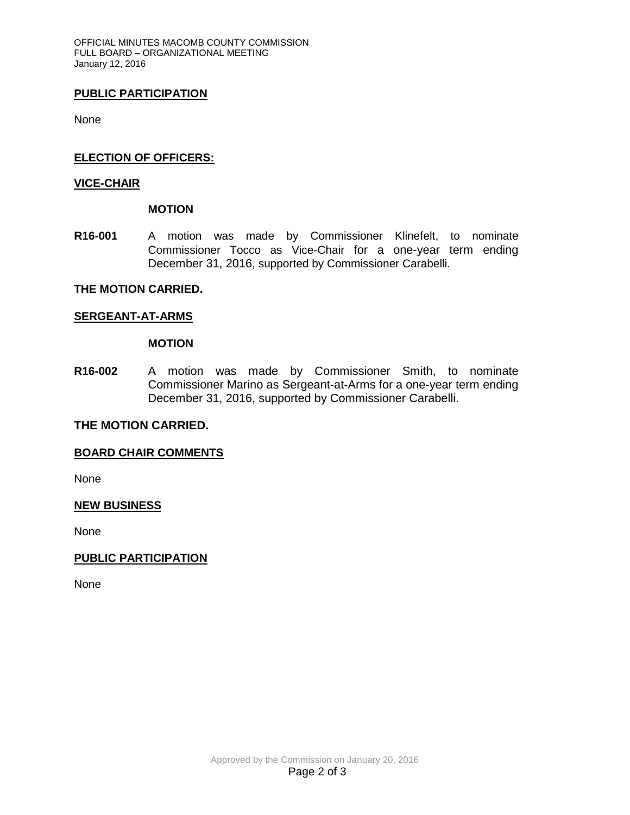OFFICIAL MINUTES MACOMB COUNTY COMMISSION FULL BOARD – ORGANIZATIONAL MEETING January 12, 2016

### **PUBLIC PARTICIPATION**

None

### **ELECTION OF OFFICERS:**

### **VICE-CHAIR**

**MOTION**

**R16-001** A motion was made by Commissioner Klinefelt, to nominate Commissioner Tocco as Vice-Chair for a one-year term ending December 31, 2016, supported by Commissioner Carabelli.

### **THE MOTION CARRIED.**

#### **SERGEANT-AT-ARMS**

#### **MOTION**

**R16-002** A motion was made by Commissioner Smith, to nominate Commissioner Marino as Sergeant-at-Arms for a one-year term ending December 31, 2016, supported by Commissioner Carabelli.

### **THE MOTION CARRIED.**

### **BOARD CHAIR COMMENTS**

None

### **NEW BUSINESS**

None

### **PUBLIC PARTICIPATION**

None